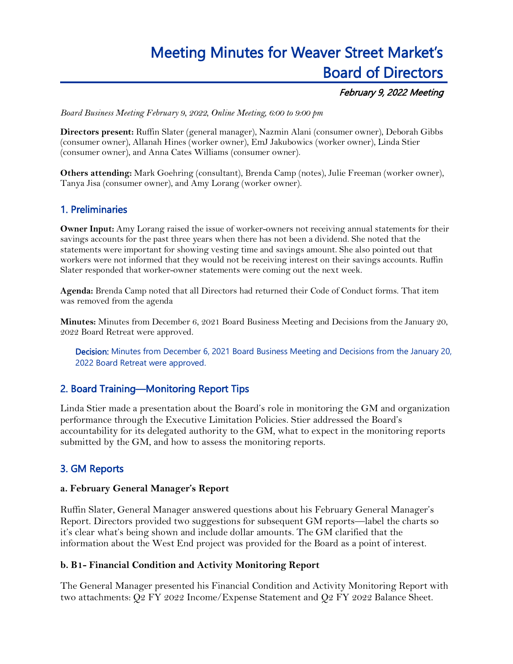# Meeting Minutes for Weaver Street Market's Board of Directors

#### February 9, 2022 Meeting

*Board Business Meeting February 9, 2022, Online Meeting, 6:00 to 9:00 pm*

**Directors present:** Ruffin Slater (general manager), Nazmin Alani (consumer owner), Deborah Gibbs (consumer owner), Allanah Hines (worker owner), EmJ Jakubowics (worker owner), Linda Stier (consumer owner), and Anna Cates Williams (consumer owner).

**Others attending:** Mark Goehring (consultant), Brenda Camp (notes), Julie Freeman (worker owner), Tanya Jisa (consumer owner), and Amy Lorang (worker owner).

# 1. Preliminaries

**Owner Input:** Amy Lorang raised the issue of worker-owners not receiving annual statements for their savings accounts for the past three years when there has not been a dividend. She noted that the statements were important for showing vesting time and savings amount. She also pointed out that workers were not informed that they would not be receiving interest on their savings accounts. Ruffin Slater responded that worker-owner statements were coming out the next week.

**Agenda:** Brenda Camp noted that all Directors had returned their Code of Conduct forms. That item was removed from the agenda

**Minutes:** Minutes from December 6, 2021 Board Business Meeting and Decisions from the January 20, 2022 Board Retreat were approved.

Decision: Minutes from December 6, 2021 Board Business Meeting and Decisions from the January 20, 2022 Board Retreat were approved.

#### 2. Board Training—Monitoring Report Tips

Linda Stier made a presentation about the Board's role in monitoring the GM and organization performance through the Executive Limitation Policies. Stier addressed the Board's accountability for its delegated authority to the GM, what to expect in the monitoring reports submitted by the GM, and how to assess the monitoring reports.

#### 3. GM Reports

#### **a. February General Manager's Report**

Ruffin Slater, General Manager answered questions about his February General Manager's Report. Directors provided two suggestions for subsequent GM reports—label the charts so it's clear what's being shown and include dollar amounts. The GM clarified that the information about the West End project was provided for the Board as a point of interest.

#### **b. B1- Financial Condition and Activity Monitoring Report**

The General Manager presented his Financial Condition and Activity Monitoring Report with two attachments: Q2 FY 2022 Income/Expense Statement and Q2 FY 2022 Balance Sheet.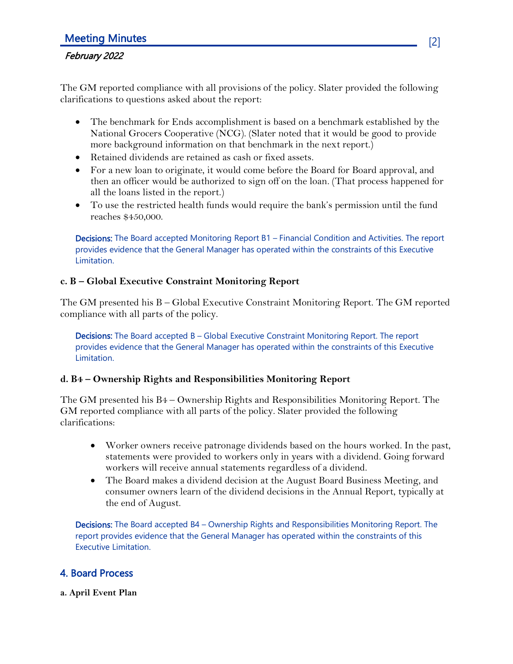# Meeting Minutes [2]

#### February 2022

The GM reported compliance with all provisions of the policy. Slater provided the following clarifications to questions asked about the report:

- The benchmark for Ends accomplishment is based on a benchmark established by the National Grocers Cooperative (NCG). (Slater noted that it would be good to provide more background information on that benchmark in the next report.)
- Retained dividends are retained as cash or fixed assets.
- For a new loan to originate, it would come before the Board for Board approval, and then an officer would be authorized to sign off on the loan. (That process happened for all the loans listed in the report.)
- To use the restricted health funds would require the bank's permission until the fund reaches \$450,000.

Decisions: The Board accepted Monitoring Report B1 – Financial Condition and Activities. The report provides evidence that the General Manager has operated within the constraints of this Executive Limitation.

#### **c. B – Global Executive Constraint Monitoring Report**

The GM presented his B – Global Executive Constraint Monitoring Report. The GM reported compliance with all parts of the policy.

Decisions: The Board accepted B - Global Executive Constraint Monitoring Report. The report provides evidence that the General Manager has operated within the constraints of this Executive Limitation.

#### **d. B4 – Ownership Rights and Responsibilities Monitoring Report**

The GM presented his B4 – Ownership Rights and Responsibilities Monitoring Report. The GM reported compliance with all parts of the policy. Slater provided the following clarifications:

- Worker owners receive patronage dividends based on the hours worked. In the past, statements were provided to workers only in years with a dividend. Going forward workers will receive annual statements regardless of a dividend.
- The Board makes a dividend decision at the August Board Business Meeting, and consumer owners learn of the dividend decisions in the Annual Report, typically at the end of August.

Decisions: The Board accepted B4 - Ownership Rights and Responsibilities Monitoring Report. The report provides evidence that the General Manager has operated within the constraints of this Executive Limitation.

#### 4. Board Process

**a. April Event Plan**